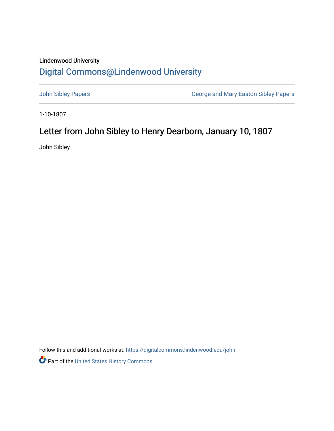## Lindenwood University

## [Digital Commons@Lindenwood University](https://digitalcommons.lindenwood.edu/)

[John Sibley Papers](https://digitalcommons.lindenwood.edu/john) [George and Mary Easton Sibley Papers](https://digitalcommons.lindenwood.edu/sibley) 

1-10-1807

## Letter from John Sibley to Henry Dearborn, January 10, 1807

John Sibley

Follow this and additional works at: [https://digitalcommons.lindenwood.edu/john](https://digitalcommons.lindenwood.edu/john?utm_source=digitalcommons.lindenwood.edu%2Fjohn%2F8&utm_medium=PDF&utm_campaign=PDFCoverPages) 

Part of the [United States History Commons](http://network.bepress.com/hgg/discipline/495?utm_source=digitalcommons.lindenwood.edu%2Fjohn%2F8&utm_medium=PDF&utm_campaign=PDFCoverPages)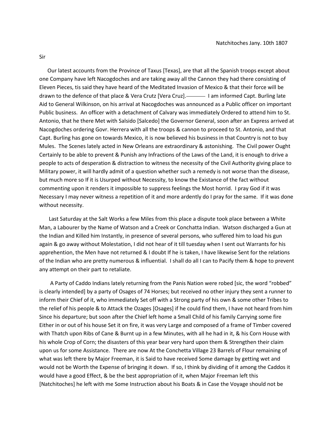Our latest accounts from the Province of Taxus [Texas], are that all the Spanish troops except about one Company have left Nacogdoches and are taking away all the Cannon they had there consisting of Eleven Pieces, tis said they have heard of the Meditated Invasion of Mexico & that their force will be drawn to the defence of that place & Vera Crutz [Vera Cruz]. I am informed Capt. Burling late Aid to General Wilkinson, on his arrival at Nacogdoches was announced as a Public officer on important Public business. An officer with a detachment of Calvary was immediately Ordered to attend him to St. Antonio, that he there Met with Salsido [Salcedo] the Governor General, soon after an Express arrived at Nacogdoches ordering Govr. Herrera with all the troops & cannon to proceed to St. Antonio, and that Capt. Burling has gone on towards Mexico, it is now believed his business in that Country is not to buy Mules. The Scenes lately acted in New Orleans are extraordinary & astonishing. The Civil power Ought Certainly to be able to prevent & Punish any Infractions of the Laws of the Land, it is enough to drive a people to acts of desperation & distraction to witness the necessity of the Civil Authority giving place to Military power, it will hardly admit of a question whether such a remedy is not worse than the disease, but much more so If it is Usurped without Necessity, to know the Existance of the fact without commenting upon it renders it impossible to suppress feelings the Most horrid. I pray God if it was Necessary I may never witness a repetition of it and more ardently do I pray for the same. If it was done without necessity.

 Last Saturday at the Salt Works a few Miles from this place a dispute took place between a White Man, a Labourer by the Name of Watson and a Creek or Conchatta Indian. Watson discharged a Gun at the Indian and Killed him Instantly, in presence of several persons, who suffered him to load his gun again & go away without Molestation, I did not hear of it till tuesday when I sent out Warrants for his apprehention, the Men have not returned & I doubt If he is taken, I have likewise Sent for the relations of the Indian who are pretty numerous & influential. I shall do all I can to Pacify them & hope to prevent any attempt on their part to retaliate.

 A Party of Caddo Indians lately returning from the Panis Nation were robed [sic, the word "robbed" is clearly intended] by a party of Osages of 74 Horses; but received no other injury they sent a runner to inform their Chief of it, who immediately Set off with a Strong party of his own & some other Tribes to the relief of his people & to Attack the Ozages [Osages] if he could find them, I have not heard from him Since his departure; but soon after the Chief left home a Small Child of his family Carrying some fire Either in or out of his house Set it on fire, it was very Large and composed of a frame of Timber covered with Thatch upon Ribs of Cane & Burnt up in a few Minutes, with all he had in it, & his Corn House with his whole Crop of Corn; the disasters of this year bear very hard upon them & Strengthen their claim upon us for some Assistance. There are now At the Conchetta Village 23 Barrels of Flour remaining of what was left there by Major Freeman, it is Said to have received Some damage by getting wet and would not be Worth the Expense of bringing it down. If so, I think by dividing of it among the Caddos it would have a good Effect, & be the best appropriation of it, when Major Freeman left this [Natchitoches] he left with me Some Instruction about his Boats & in Case the Voyage should not be

Sir